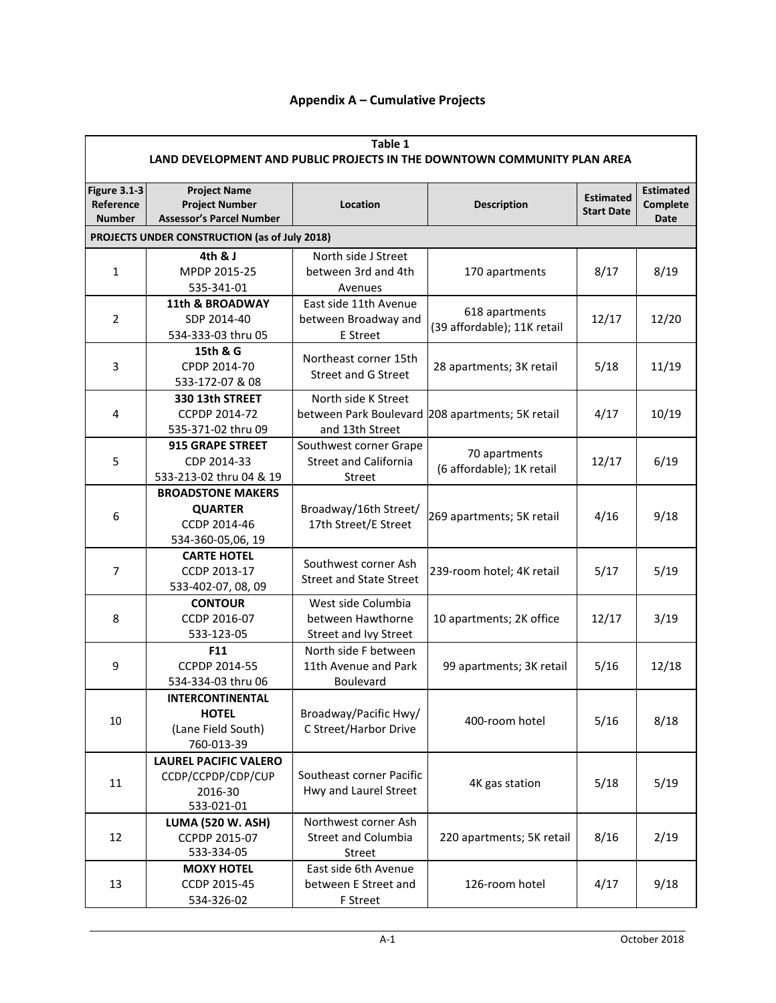## **Appendix A – Cumulative Projects**

| Table 1<br>LAND DEVELOPMENT AND PUBLIC PROJECTS IN THE DOWNTOWN COMMUNITY PLAN AREA |                                                                                 |                                |                                                  |                                       |                                             |  |  |
|-------------------------------------------------------------------------------------|---------------------------------------------------------------------------------|--------------------------------|--------------------------------------------------|---------------------------------------|---------------------------------------------|--|--|
| <b>Figure 3.1-3</b><br>Reference<br><b>Number</b>                                   | <b>Project Name</b><br><b>Project Number</b><br><b>Assessor's Parcel Number</b> | Location                       | <b>Description</b>                               | <b>Estimated</b><br><b>Start Date</b> | <b>Estimated</b><br>Complete<br><b>Date</b> |  |  |
| PROJECTS UNDER CONSTRUCTION (as of July 2018)                                       |                                                                                 |                                |                                                  |                                       |                                             |  |  |
|                                                                                     | 4th & J                                                                         | North side J Street            |                                                  |                                       |                                             |  |  |
| 1                                                                                   | MPDP 2015-25                                                                    | between 3rd and 4th            | 170 apartments                                   | 8/17                                  | 8/19                                        |  |  |
|                                                                                     | 535-341-01                                                                      | Avenues                        |                                                  |                                       |                                             |  |  |
|                                                                                     | <b>11th &amp; BROADWAY</b>                                                      | East side 11th Avenue          |                                                  |                                       |                                             |  |  |
| $\overline{2}$                                                                      | SDP 2014-40                                                                     | between Broadway and           | 618 apartments                                   | 12/17                                 | 12/20                                       |  |  |
|                                                                                     | 534-333-03 thru 05                                                              | E Street                       | (39 affordable); 11K retail                      |                                       |                                             |  |  |
|                                                                                     | 15th & G                                                                        |                                |                                                  |                                       |                                             |  |  |
| 3                                                                                   | CPDP 2014-70                                                                    | Northeast corner 15th          | 28 apartments; 3K retail                         | 5/18                                  | 11/19                                       |  |  |
|                                                                                     | 533-172-07 & 08                                                                 | <b>Street and G Street</b>     |                                                  |                                       |                                             |  |  |
|                                                                                     | 330 13th STREET                                                                 | North side K Street            |                                                  |                                       |                                             |  |  |
| 4                                                                                   | CCPDP 2014-72                                                                   |                                | between Park Boulevard 208 apartments; 5K retail | 4/17                                  | 10/19                                       |  |  |
|                                                                                     | 535-371-02 thru 09                                                              | and 13th Street                |                                                  |                                       |                                             |  |  |
|                                                                                     | 915 GRAPE STREET                                                                | Southwest corner Grape         |                                                  |                                       |                                             |  |  |
| 5                                                                                   | CDP 2014-33                                                                     | <b>Street and California</b>   | 70 apartments                                    | 12/17                                 | 6/19                                        |  |  |
|                                                                                     | 533-213-02 thru 04 & 19                                                         | <b>Street</b>                  | (6 affordable); 1K retail                        |                                       |                                             |  |  |
|                                                                                     | <b>BROADSTONE MAKERS</b>                                                        |                                |                                                  |                                       |                                             |  |  |
|                                                                                     | <b>QUARTER</b>                                                                  | Broadway/16th Street/          |                                                  |                                       |                                             |  |  |
| 6                                                                                   | CCDP 2014-46                                                                    | 17th Street/E Street           | 269 apartments; 5K retail                        | 4/16                                  | 9/18                                        |  |  |
|                                                                                     | 534-360-05,06, 19                                                               |                                |                                                  |                                       |                                             |  |  |
|                                                                                     | <b>CARTE HOTEL</b>                                                              |                                |                                                  |                                       |                                             |  |  |
| 7                                                                                   | CCDP 2013-17                                                                    | Southwest corner Ash           | 239-room hotel; 4K retail                        | 5/17                                  | 5/19                                        |  |  |
|                                                                                     | 533-402-07, 08, 09                                                              | <b>Street and State Street</b> |                                                  |                                       |                                             |  |  |
|                                                                                     | <b>CONTOUR</b>                                                                  | West side Columbia             |                                                  |                                       | 3/19                                        |  |  |
| 8                                                                                   | CCDP 2016-07                                                                    | between Hawthorne              | 10 apartments; 2K office                         | 12/17                                 |                                             |  |  |
|                                                                                     | 533-123-05                                                                      | Street and Ivy Street          |                                                  |                                       |                                             |  |  |
|                                                                                     | F11                                                                             | North side F between           |                                                  |                                       |                                             |  |  |
| 9                                                                                   | CCPDP 2014-55                                                                   | 11th Avenue and Park           | 99 apartments; 3K retail                         | 5/16                                  | 12/18                                       |  |  |
|                                                                                     | 534-334-03 thru 06                                                              | Boulevard                      |                                                  |                                       |                                             |  |  |
|                                                                                     | INTERCONTINENTAL                                                                |                                |                                                  |                                       |                                             |  |  |
| 10                                                                                  | <b>HOTEL</b>                                                                    | Broadway/Pacific Hwy/          | 400-room hotel                                   | 5/16                                  | 8/18                                        |  |  |
|                                                                                     | (Lane Field South)                                                              | C Street/Harbor Drive          |                                                  |                                       |                                             |  |  |
|                                                                                     | 760-013-39                                                                      |                                |                                                  |                                       |                                             |  |  |
|                                                                                     | <b>LAUREL PACIFIC VALERO</b>                                                    |                                |                                                  | 5/18                                  | 5/19                                        |  |  |
| 11                                                                                  | CCDP/CCPDP/CDP/CUP                                                              | Southeast corner Pacific       | 4K gas station                                   |                                       |                                             |  |  |
|                                                                                     | 2016-30                                                                         | Hwy and Laurel Street          |                                                  |                                       |                                             |  |  |
|                                                                                     | 533-021-01                                                                      |                                |                                                  |                                       |                                             |  |  |
|                                                                                     | <b>LUMA (520 W. ASH)</b>                                                        | Northwest corner Ash           |                                                  |                                       |                                             |  |  |
| 12                                                                                  | CCPDP 2015-07                                                                   | <b>Street and Columbia</b>     | 220 apartments; 5K retail                        | 8/16                                  | 2/19                                        |  |  |
|                                                                                     | 533-334-05                                                                      | Street                         |                                                  |                                       |                                             |  |  |
|                                                                                     | <b>MOXY HOTEL</b>                                                               | East side 6th Avenue           |                                                  |                                       |                                             |  |  |
| 13                                                                                  | CCDP 2015-45                                                                    | between E Street and           | 126-room hotel                                   | 4/17                                  | 9/18                                        |  |  |
|                                                                                     | 534-326-02                                                                      | F Street                       |                                                  |                                       |                                             |  |  |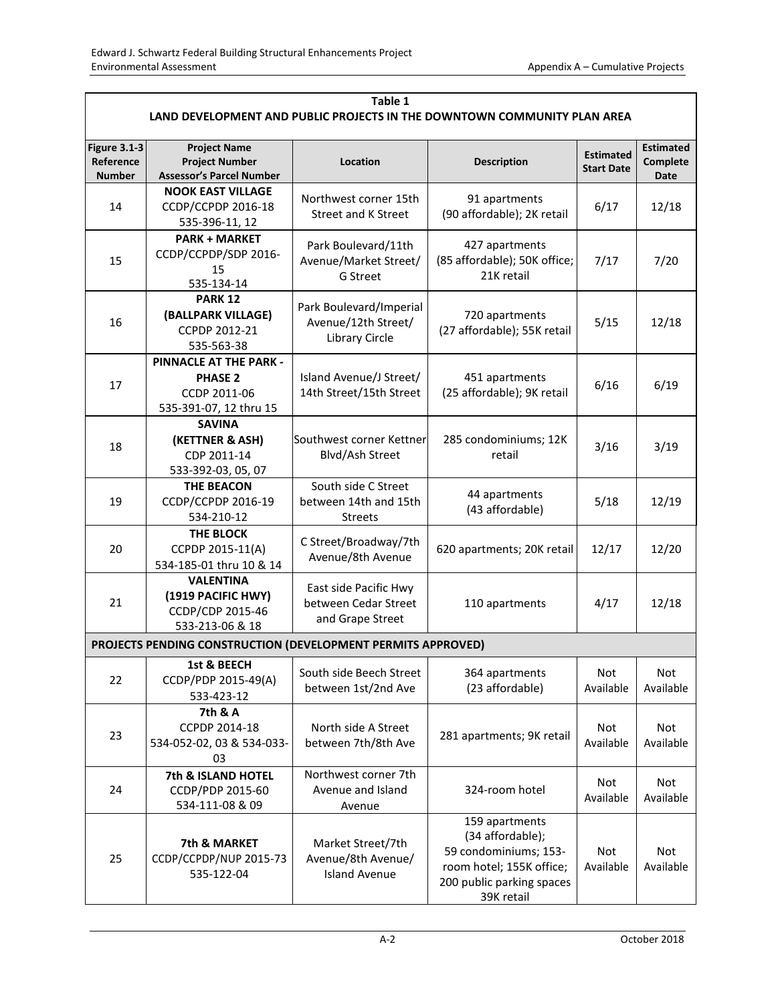| Table 1<br>LAND DEVELOPMENT AND PUBLIC PROJECTS IN THE DOWNTOWN COMMUNITY PLAN AREA |                                                                                           |                                                                         |                                                                                                                                    |                                       |                                      |  |  |  |
|-------------------------------------------------------------------------------------|-------------------------------------------------------------------------------------------|-------------------------------------------------------------------------|------------------------------------------------------------------------------------------------------------------------------------|---------------------------------------|--------------------------------------|--|--|--|
| <b>Figure 3.1-3</b><br>Reference<br><b>Number</b>                                   | <b>Project Name</b><br><b>Project Number</b><br><b>Assessor's Parcel Number</b>           | Location                                                                | <b>Description</b>                                                                                                                 | <b>Estimated</b><br><b>Start Date</b> | <b>Estimated</b><br>Complete<br>Date |  |  |  |
| 14                                                                                  | <b>NOOK EAST VILLAGE</b><br>CCDP/CCPDP 2016-18<br>535-396-11, 12                          | Northwest corner 15th<br><b>Street and K Street</b>                     | 91 apartments<br>6/17<br>(90 affordable); 2K retail                                                                                |                                       | 12/18                                |  |  |  |
| 15                                                                                  | <b>PARK + MARKET</b><br>CCDP/CCPDP/SDP 2016-<br>15<br>535-134-14                          | Park Boulevard/11th<br>Avenue/Market Street/<br>G Street                | 427 apartments<br>(85 affordable); 50K office;<br>21K retail                                                                       | 7/17                                  | 7/20                                 |  |  |  |
| 16                                                                                  | <b>PARK 12</b><br>(BALLPARK VILLAGE)<br>CCPDP 2012-21<br>535-563-38                       | Park Boulevard/Imperial<br>Avenue/12th Street/<br><b>Library Circle</b> | 720 apartments<br>(27 affordable); 55K retail                                                                                      | 5/15                                  | 12/18                                |  |  |  |
| 17                                                                                  | <b>PINNACLE AT THE PARK -</b><br><b>PHASE 2</b><br>CCDP 2011-06<br>535-391-07, 12 thru 15 | Island Avenue/J Street/<br>14th Street/15th Street                      | 451 apartments<br>(25 affordable); 9K retail                                                                                       | 6/16                                  | 6/19                                 |  |  |  |
| 18                                                                                  | <b>SAVINA</b><br>(KETTNER & ASH)<br>CDP 2011-14<br>533-392-03, 05, 07                     | Southwest corner Kettner<br>Blvd/Ash Street                             | 285 condominiums; 12K<br>retail                                                                                                    | 3/16                                  | 3/19                                 |  |  |  |
| 19                                                                                  | <b>THE BEACON</b><br>CCDP/CCPDP 2016-19<br>534-210-12                                     | South side C Street<br>between 14th and 15th<br><b>Streets</b>          | 44 apartments<br>(43 affordable)                                                                                                   | 5/18                                  | 12/19                                |  |  |  |
| 20                                                                                  | THE BLOCK<br>CCPDP 2015-11(A)<br>534-185-01 thru 10 & 14                                  | C Street/Broadway/7th<br>Avenue/8th Avenue                              | 620 apartments; 20K retail                                                                                                         | 12/17                                 | 12/20                                |  |  |  |
| 21                                                                                  | <b>VALENTINA</b><br>(1919 PACIFIC HWY)<br>CCDP/CDP 2015-46<br>533-213-06 & 18             | East side Pacific Hwy<br>between Cedar Street<br>and Grape Street       | 110 apartments                                                                                                                     |                                       | 12/18                                |  |  |  |
|                                                                                     | PROJECTS PENDING CONSTRUCTION (DEVELOPMENT PERMITS APPROVED)                              |                                                                         |                                                                                                                                    |                                       |                                      |  |  |  |
| 22                                                                                  | 1st & BEECH<br>CCDP/PDP 2015-49(A)<br>533-423-12                                          | South side Beech Street<br>between 1st/2nd Ave                          | 364 apartments<br>(23 affordable)                                                                                                  | Not<br>Available                      | Not<br>Available                     |  |  |  |
| 23                                                                                  | 7th & A<br>CCPDP 2014-18<br>534-052-02, 03 & 534-033-<br>03                               | North side A Street<br>between 7th/8th Ave                              | 281 apartments; 9K retail                                                                                                          | Not<br>Available                      | Not<br>Available                     |  |  |  |
| 24                                                                                  | 7th & ISLAND HOTEL<br>CCDP/PDP 2015-60<br>534-111-08 & 09                                 | Northwest corner 7th<br>Avenue and Island<br>Avenue                     | 324-room hotel                                                                                                                     | Not<br>Available                      | Not<br>Available                     |  |  |  |
| 25                                                                                  | 7th & MARKET<br>CCDP/CCPDP/NUP 2015-73<br>535-122-04                                      | Market Street/7th<br>Avenue/8th Avenue/<br><b>Island Avenue</b>         | 159 apartments<br>(34 affordable);<br>59 condominiums; 153-<br>room hotel; 155K office;<br>200 public parking spaces<br>39K retail | Not<br>Available                      | Not<br>Available                     |  |  |  |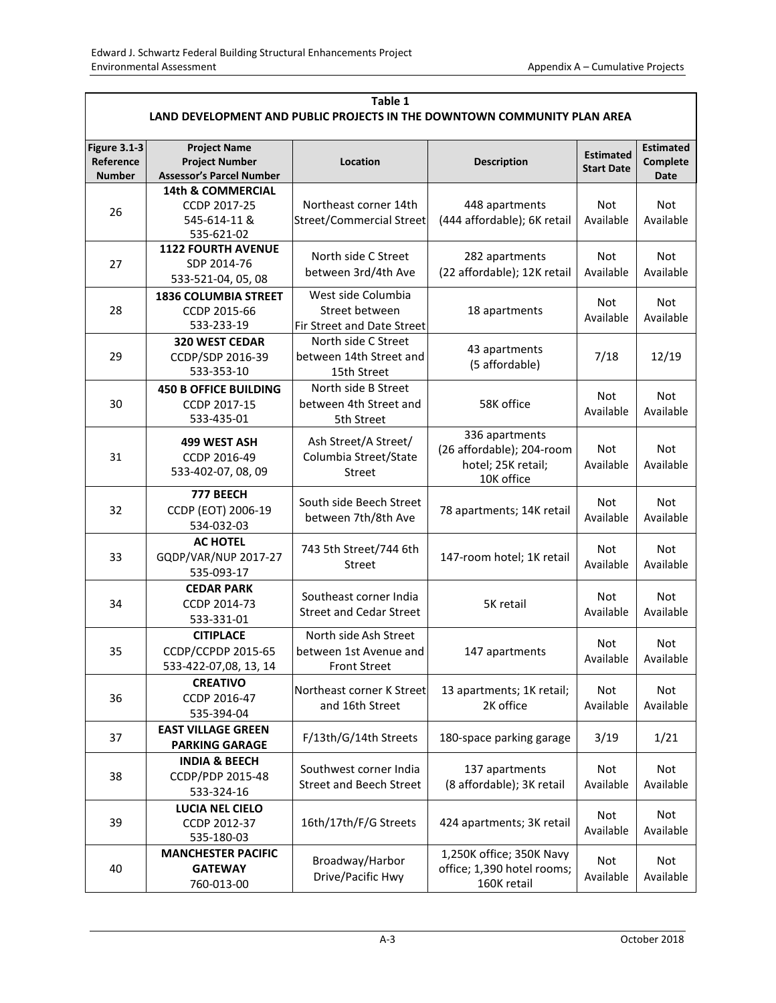| Table 1<br>LAND DEVELOPMENT AND PUBLIC PROJECTS IN THE DOWNTOWN COMMUNITY PLAN AREA |                                                                                 |                                                                        |                                                                                 |                                             |                         |  |  |
|-------------------------------------------------------------------------------------|---------------------------------------------------------------------------------|------------------------------------------------------------------------|---------------------------------------------------------------------------------|---------------------------------------------|-------------------------|--|--|
| <b>Figure 3.1-3</b><br>Reference<br>Number                                          | <b>Project Name</b><br><b>Project Number</b><br><b>Assessor's Parcel Number</b> | Location                                                               | <b>Estimated</b><br><b>Start Date</b>                                           | <b>Estimated</b><br>Complete<br><b>Date</b> |                         |  |  |
| 26                                                                                  | <b>14th &amp; COMMERCIAL</b><br>CCDP 2017-25<br>545-614-11 &<br>535-621-02      | Northeast corner 14th<br><b>Street/Commercial Street</b>               | 448 apartments<br>(444 affordable); 6K retail                                   |                                             | Not<br>Available        |  |  |
| 27                                                                                  | <b>1122 FOURTH AVENUE</b><br>SDP 2014-76<br>533-521-04, 05, 08                  | North side C Street<br>between 3rd/4th Ave                             | 282 apartments<br>(22 affordable); 12K retail                                   | Not<br>Available                            | Not<br>Available        |  |  |
| 28                                                                                  | <b>1836 COLUMBIA STREET</b><br>CCDP 2015-66<br>533-233-19                       | West side Columbia<br>Street between<br>Fir Street and Date Street     | 18 apartments                                                                   | Not<br>Available                            | Not<br>Available        |  |  |
| 29                                                                                  | 320 WEST CEDAR<br>CCDP/SDP 2016-39<br>533-353-10                                | North side C Street<br>between 14th Street and<br>15th Street          | 43 apartments<br>(5 affordable)                                                 | 7/18                                        | 12/19                   |  |  |
| 30                                                                                  | <b>450 B OFFICE BUILDING</b><br>CCDP 2017-15<br>533-435-01                      | North side B Street<br>between 4th Street and<br>5th Street            | 58K office                                                                      | Not<br>Available                            | Not<br>Available        |  |  |
| 31                                                                                  | 499 WEST ASH<br>CCDP 2016-49<br>533-402-07, 08, 09                              | Ash Street/A Street/<br>Columbia Street/State<br><b>Street</b>         | 336 apartments<br>(26 affordable); 204-room<br>hotel; 25K retail;<br>10K office | Not<br>Available                            | Not<br>Available        |  |  |
| 32                                                                                  | 777 BEECH<br>CCDP (EOT) 2006-19<br>534-032-03                                   | South side Beech Street<br>between 7th/8th Ave                         | 78 apartments; 14K retail                                                       | Not<br>Available                            | Not<br>Available        |  |  |
| 33                                                                                  | <b>AC HOTEL</b><br>GQDP/VAR/NUP 2017-27<br>535-093-17                           | 743 5th Street/744 6th<br>Street                                       | 147-room hotel; 1K retail                                                       | Not<br>Available                            | Not<br>Available        |  |  |
| 34                                                                                  | <b>CEDAR PARK</b><br>CCDP 2014-73<br>533-331-01                                 | Southeast corner India<br><b>Street and Cedar Street</b>               | 5K retail                                                                       | <b>Not</b><br>Available                     | <b>Not</b><br>Available |  |  |
| 35                                                                                  | <b>CITIPLACE</b><br>CCDP/CCPDP 2015-65<br>533-422-07,08, 13, 14                 | North side Ash Street<br>between 1st Avenue and<br><b>Front Street</b> | 147 apartments                                                                  | Not<br>Available                            | Not<br>Available        |  |  |
| 36                                                                                  | <b>CREATIVO</b><br>CCDP 2016-47<br>535-394-04                                   | Northeast corner K Street<br>and 16th Street                           | 13 apartments; 1K retail;<br>Not<br>2K office<br>Available                      |                                             | Not<br>Available        |  |  |
| 37                                                                                  | <b>EAST VILLAGE GREEN</b><br><b>PARKING GARAGE</b>                              | F/13th/G/14th Streets                                                  | 180-space parking garage<br>3/19                                                |                                             | 1/21                    |  |  |
| 38                                                                                  | <b>INDIA &amp; BEECH</b><br>CCDP/PDP 2015-48<br>533-324-16                      | Southwest corner India<br><b>Street and Beech Street</b>               | 137 apartments<br>(8 affordable); 3K retail                                     | Not<br>Available                            | Not<br>Available        |  |  |
| 39                                                                                  | <b>LUCIA NEL CIELO</b><br>CCDP 2012-37<br>535-180-03                            | 16th/17th/F/G Streets                                                  | 424 apartments; 3K retail                                                       | Not<br>Available                            | Not<br>Available        |  |  |
| 40                                                                                  | <b>MANCHESTER PACIFIC</b><br><b>GATEWAY</b><br>760-013-00                       | Broadway/Harbor<br>Drive/Pacific Hwy                                   | 1,250K office; 350K Navy<br>office; 1,390 hotel rooms;<br>160K retail           | Not<br>Available                            | Not<br>Available        |  |  |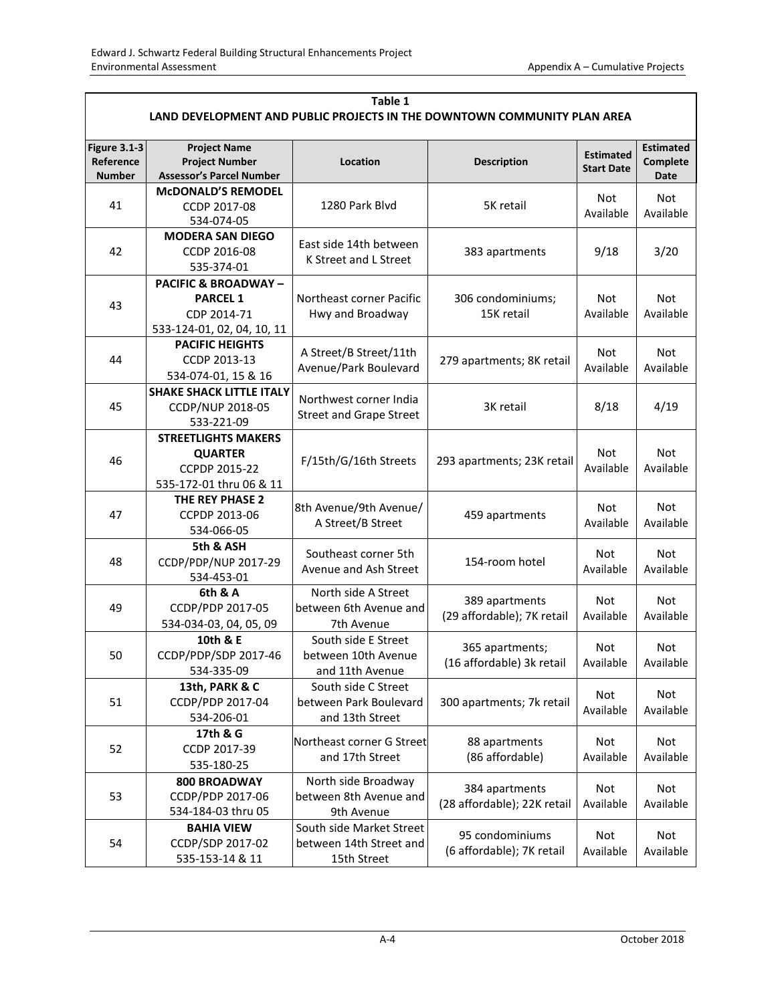| Table 1<br>LAND DEVELOPMENT AND PUBLIC PROJECTS IN THE DOWNTOWN COMMUNITY PLAN AREA |                                                                                                |                                                                    |                                               |                                       |                                      |  |  |
|-------------------------------------------------------------------------------------|------------------------------------------------------------------------------------------------|--------------------------------------------------------------------|-----------------------------------------------|---------------------------------------|--------------------------------------|--|--|
| <b>Figure 3.1-3</b><br>Reference<br><b>Number</b>                                   | <b>Project Name</b><br><b>Project Number</b><br><b>Assessor's Parcel Number</b>                | Location                                                           | <b>Description</b>                            | <b>Estimated</b><br><b>Start Date</b> | <b>Estimated</b><br>Complete<br>Date |  |  |
| 41                                                                                  | <b>McDONALD'S REMODEL</b><br>CCDP 2017-08<br>534-074-05                                        | 5K retail<br>1280 Park Blvd                                        |                                               | Not<br>Available                      | Not<br>Available                     |  |  |
| 42                                                                                  | <b>MODERA SAN DIEGO</b><br>CCDP 2016-08<br>535-374-01                                          | East side 14th between<br>K Street and L Street                    | 383 apartments                                | 9/18                                  | 3/20                                 |  |  |
| 43                                                                                  | <b>PACIFIC &amp; BROADWAY-</b><br><b>PARCEL 1</b><br>CDP 2014-71<br>533-124-01, 02, 04, 10, 11 | Northeast corner Pacific<br>Hwy and Broadway                       | 306 condominiums;<br>15K retail               | Not<br>Available                      | Not<br>Available                     |  |  |
| 44                                                                                  | <b>PACIFIC HEIGHTS</b><br>CCDP 2013-13<br>534-074-01, 15 & 16                                  | A Street/B Street/11th<br>Avenue/Park Boulevard                    | 279 apartments; 8K retail                     | Not<br>Available                      | <b>Not</b><br>Available              |  |  |
| 45                                                                                  | <b>SHAKE SHACK LITTLE ITALY</b><br>CCDP/NUP 2018-05<br>533-221-09                              | Northwest corner India<br><b>Street and Grape Street</b>           | 3K retail                                     |                                       | 4/19                                 |  |  |
| 46                                                                                  | <b>STREETLIGHTS MAKERS</b><br><b>QUARTER</b><br>CCPDP 2015-22<br>535-172-01 thru 06 & 11       | F/15th/G/16th Streets                                              | 293 apartments; 23K retail                    | Not<br>Available                      | <b>Not</b><br>Available              |  |  |
| 47                                                                                  | THE REY PHASE 2<br>CCPDP 2013-06<br>534-066-05                                                 | 8th Avenue/9th Avenue/<br>A Street/B Street                        | 459 apartments                                | Not<br>Available                      | <b>Not</b><br>Available              |  |  |
| 48                                                                                  | 5th & ASH<br>CCDP/PDP/NUP 2017-29<br>534-453-01                                                | Southeast corner 5th<br>Avenue and Ash Street                      | 154-room hotel                                | <b>Not</b><br>Available               | <b>Not</b><br>Available              |  |  |
| 49                                                                                  | 6th & A<br>CCDP/PDP 2017-05<br>534-034-03, 04, 05, 09                                          | North side A Street<br>between 6th Avenue and<br>7th Avenue        | 389 apartments<br>(29 affordable); 7K retail  | <b>Not</b><br>Available               | Not<br>Available                     |  |  |
| 50                                                                                  | 10th & E<br>CCDP/PDP/SDP 2017-46<br>534-335-09                                                 | South side E Street<br>between 10th Avenue<br>and 11th Avenue      | 365 apartments;<br>(16 affordable) 3k retail  | Not<br>Available                      | Not<br>Available                     |  |  |
| 51                                                                                  | 13th, PARK & C<br>CCDP/PDP 2017-04<br>534-206-01                                               | South side C Street<br>between Park Boulevard<br>and 13th Street   | 300 apartments; 7k retail                     | Not<br>Available                      | Not<br>Available                     |  |  |
| 52                                                                                  | 17th & G<br>CCDP 2017-39<br>535-180-25                                                         | Northeast corner G Street<br>and 17th Street                       | 88 apartments<br>(86 affordable)              | Not<br>Available                      | Not<br>Available                     |  |  |
| 53                                                                                  | 800 BROADWAY<br>CCDP/PDP 2017-06<br>534-184-03 thru 05                                         | North side Broadway<br>between 8th Avenue and<br>9th Avenue        | 384 apartments<br>(28 affordable); 22K retail | Not<br>Available                      | Not<br>Available                     |  |  |
| 54                                                                                  | <b>BAHIA VIEW</b><br>CCDP/SDP 2017-02<br>535-153-14 & 11                                       | South side Market Street<br>between 14th Street and<br>15th Street | 95 condominiums<br>(6 affordable); 7K retail  | Not<br>Available                      | Not<br>Available                     |  |  |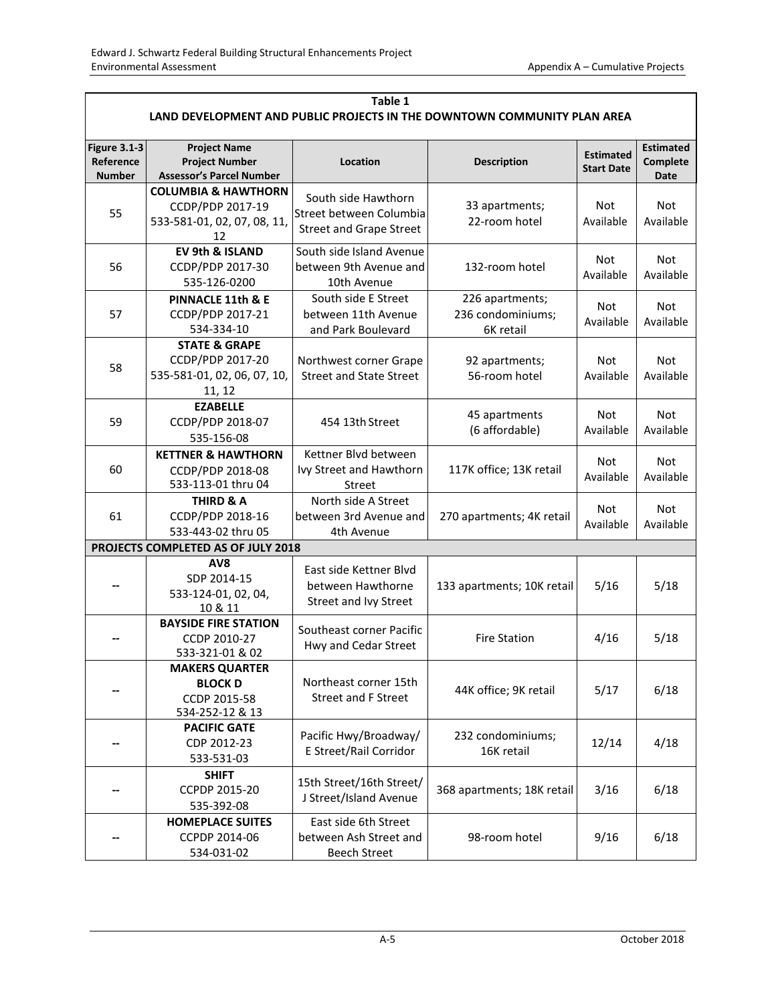| Table 1                                                                  |                                                                                         |                                                                                  |                                                   |                                       |                                      |  |  |  |
|--------------------------------------------------------------------------|-----------------------------------------------------------------------------------------|----------------------------------------------------------------------------------|---------------------------------------------------|---------------------------------------|--------------------------------------|--|--|--|
| LAND DEVELOPMENT AND PUBLIC PROJECTS IN THE DOWNTOWN COMMUNITY PLAN AREA |                                                                                         |                                                                                  |                                                   |                                       |                                      |  |  |  |
| <b>Figure 3.1-3</b><br>Reference<br><b>Number</b>                        | <b>Project Name</b><br><b>Project Number</b><br><b>Assessor's Parcel Number</b>         | Location                                                                         | <b>Description</b>                                | <b>Estimated</b><br><b>Start Date</b> | <b>Estimated</b><br>Complete<br>Date |  |  |  |
| 55                                                                       | <b>COLUMBIA &amp; HAWTHORN</b><br>CCDP/PDP 2017-19<br>533-581-01, 02, 07, 08, 11,<br>12 | South side Hawthorn<br>Street between Columbia<br><b>Street and Grape Street</b> | 33 apartments;<br>22-room hotel                   | Not<br>Available                      | Not<br>Available                     |  |  |  |
| 56                                                                       | EV 9th & ISLAND<br>CCDP/PDP 2017-30<br>535-126-0200                                     | South side Island Avenue<br>between 9th Avenue and<br>10th Avenue                | 132-room hotel                                    | Not<br>Available                      | <b>Not</b><br>Available              |  |  |  |
| 57                                                                       | <b>PINNACLE 11th &amp; E</b><br>CCDP/PDP 2017-21<br>534-334-10                          | South side E Street<br>between 11th Avenue<br>and Park Boulevard                 | 226 apartments;<br>236 condominiums;<br>6K retail | Not<br>Available                      | Not<br>Available                     |  |  |  |
| 58                                                                       | <b>STATE &amp; GRAPE</b><br>CCDP/PDP 2017-20<br>535-581-01, 02, 06, 07, 10,<br>11, 12   | Northwest corner Grape<br><b>Street and State Street</b>                         | 92 apartments;<br>56-room hotel                   | Not<br>Available                      | <b>Not</b><br>Available              |  |  |  |
| 59                                                                       | <b>EZABELLE</b><br>CCDP/PDP 2018-07<br>535-156-08                                       | 454 13th Street                                                                  | 45 apartments<br>(6 affordable)                   | Not<br>Available                      | Not<br>Available                     |  |  |  |
| 60                                                                       | <b>KETTNER &amp; HAWTHORN</b><br>CCDP/PDP 2018-08<br>533-113-01 thru 04                 | Kettner Blvd between<br>Ivy Street and Hawthorn<br>Street                        | 117K office; 13K retail                           | <b>Not</b><br>Available               | <b>Not</b><br>Available              |  |  |  |
| 61                                                                       | <b>THIRD &amp; A</b><br>CCDP/PDP 2018-16<br>533-443-02 thru 05                          | North side A Street<br>between 3rd Avenue and<br>4th Avenue                      | Not<br>270 apartments; 4K retail<br>Available     |                                       | <b>Not</b><br>Available              |  |  |  |
|                                                                          | PROJECTS COMPLETED AS OF JULY 2018                                                      |                                                                                  |                                                   |                                       |                                      |  |  |  |
|                                                                          | AV8<br>SDP 2014-15<br>533-124-01, 02, 04,<br>10 & 11                                    | East side Kettner Blvd<br>between Hawthorne<br>Street and Ivy Street             | 133 apartments; 10K retail                        | 5/16                                  | 5/18                                 |  |  |  |
|                                                                          | <b>BAYSIDE FIRE STATION</b><br>CCDP 2010-27<br>533-321-01 & 02                          | Southeast corner Pacific<br>Hwy and Cedar Street                                 | <b>Fire Station</b>                               | 4/16                                  | 5/18                                 |  |  |  |
|                                                                          | <b>MAKERS QUARTER</b><br><b>BLOCK D</b><br>CCDP 2015-58<br>534-252-12 & 13              | Northeast corner 15th<br><b>Street and F Street</b>                              | 44K office; 9K retail                             | 5/17                                  | 6/18                                 |  |  |  |
|                                                                          | <b>PACIFIC GATE</b><br>CDP 2012-23<br>533-531-03                                        | Pacific Hwy/Broadway/<br>E Street/Rail Corridor                                  | 232 condominiums;<br>12/14<br>16K retail          |                                       | 4/18                                 |  |  |  |
|                                                                          | <b>SHIFT</b><br>CCPDP 2015-20<br>535-392-08                                             | 15th Street/16th Street/<br>J Street/Island Avenue                               | 368 apartments; 18K retail                        | 3/16                                  | 6/18                                 |  |  |  |
|                                                                          | <b>HOMEPLACE SUITES</b><br>CCPDP 2014-06<br>534-031-02                                  | East side 6th Street<br>between Ash Street and<br><b>Beech Street</b>            | 98-room hotel                                     | 9/16                                  | 6/18                                 |  |  |  |